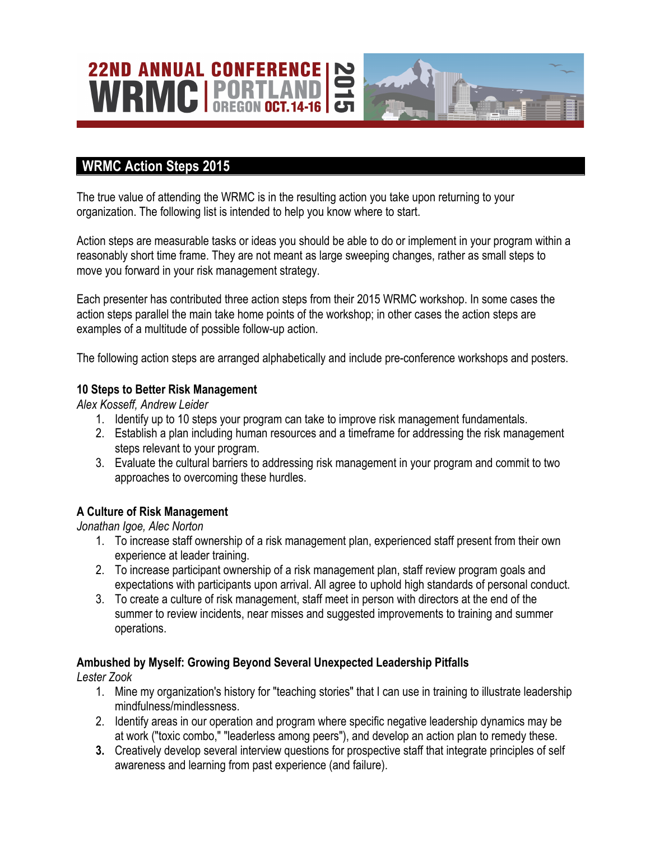# **22ND ANNUAL CONFERENCE** WRMCIR

## **WRMC Action Steps 2015**

The true value of attending the WRMC is in the resulting action you take upon returning to your organization. The following list is intended to help you know where to start.

Action steps are measurable tasks or ideas you should be able to do or implement in your program within a reasonably short time frame. They are not meant as large sweeping changes, rather as small steps to move you forward in your risk management strategy.

Each presenter has contributed three action steps from their 2015 WRMC workshop. In some cases the action steps parallel the main take home points of the workshop; in other cases the action steps are examples of a multitude of possible follow-up action.

The following action steps are arranged alphabetically and include pre-conference workshops and posters.

#### **10 Steps to Better Risk Management**

*Alex Kosseff, Andrew Leider* 

- 1. Identify up to 10 steps your program can take to improve risk management fundamentals.
- 2. Establish a plan including human resources and a timeframe for addressing the risk management steps relevant to your program.
- 3. Evaluate the cultural barriers to addressing risk management in your program and commit to two approaches to overcoming these hurdles.

#### **A Culture of Risk Management**

*Jonathan Igoe, Alec Norton*

- 1. To increase staff ownership of a risk management plan, experienced staff present from their own experience at leader training.
- 2. To increase participant ownership of a risk management plan, staff review program goals and expectations with participants upon arrival. All agree to uphold high standards of personal conduct.
- 3. To create a culture of risk management, staff meet in person with directors at the end of the summer to review incidents, near misses and suggested improvements to training and summer operations.

#### **Ambushed by Myself: Growing Beyond Several Unexpected Leadership Pitfalls**

*Lester Zook*

- 1. Mine my organization's history for "teaching stories" that I can use in training to illustrate leadership mindfulness/mindlessness.
- 2. Identify areas in our operation and program where specific negative leadership dynamics may be at work ("toxic combo," "leaderless among peers"), and develop an action plan to remedy these.
- **3.** Creatively develop several interview questions for prospective staff that integrate principles of self awareness and learning from past experience (and failure).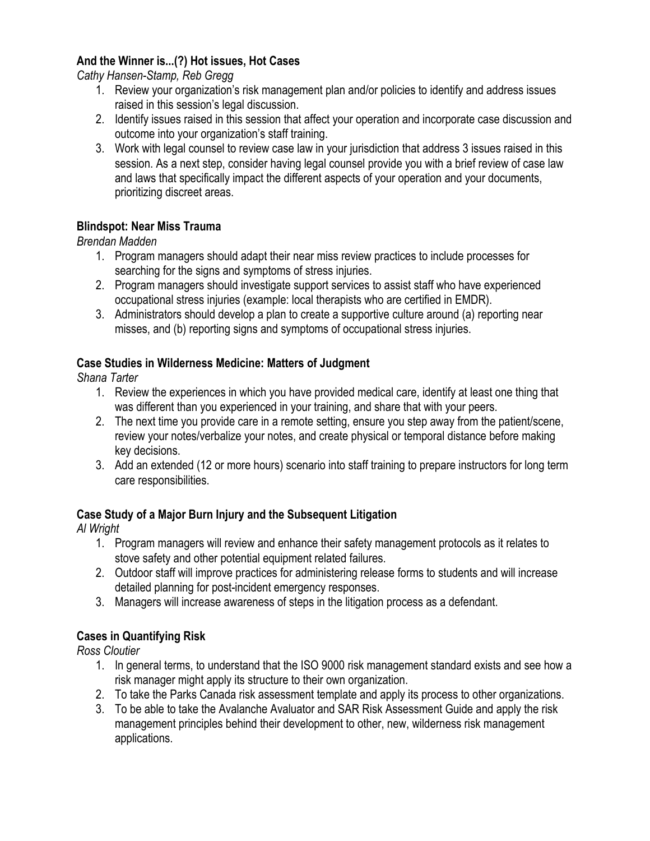#### **And the Winner is...(?) Hot issues, Hot Cases**

*Cathy Hansen-Stamp, Reb Gregg*

- 1. Review your organization's risk management plan and/or policies to identify and address issues raised in this session's legal discussion.
- 2. Identify issues raised in this session that affect your operation and incorporate case discussion and outcome into your organization's staff training.
- 3. Work with legal counsel to review case law in your jurisdiction that address 3 issues raised in this session. As a next step, consider having legal counsel provide you with a brief review of case law and laws that specifically impact the different aspects of your operation and your documents, prioritizing discreet areas.

#### **Blindspot: Near Miss Trauma**

*Brendan Madden* 

- 1. Program managers should adapt their near miss review practices to include processes for searching for the signs and symptoms of stress injuries.
- 2. Program managers should investigate support services to assist staff who have experienced occupational stress injuries (example: local therapists who are certified in EMDR).
- 3. Administrators should develop a plan to create a supportive culture around (a) reporting near misses, and (b) reporting signs and symptoms of occupational stress injuries.

#### **Case Studies in Wilderness Medicine: Matters of Judgment**

*Shana Tarter*

- 1. Review the experiences in which you have provided medical care, identify at least one thing that was different than you experienced in your training, and share that with your peers.
- 2. The next time you provide care in a remote setting, ensure you step away from the patient/scene, review your notes/verbalize your notes, and create physical or temporal distance before making key decisions.
- 3. Add an extended (12 or more hours) scenario into staff training to prepare instructors for long term care responsibilities.

#### **Case Study of a Major Burn Injury and the Subsequent Litigation**

*Al Wright*

- 1. Program managers will review and enhance their safety management protocols as it relates to stove safety and other potential equipment related failures.
- 2. Outdoor staff will improve practices for administering release forms to students and will increase detailed planning for post-incident emergency responses.
- 3. Managers will increase awareness of steps in the litigation process as a defendant.

#### **Cases in Quantifying Risk**

*Ross Cloutier*

- 1. In general terms, to understand that the ISO 9000 risk management standard exists and see how a risk manager might apply its structure to their own organization.
- 2. To take the Parks Canada risk assessment template and apply its process to other organizations.
- 3. To be able to take the Avalanche Avaluator and SAR Risk Assessment Guide and apply the risk management principles behind their development to other, new, wilderness risk management applications.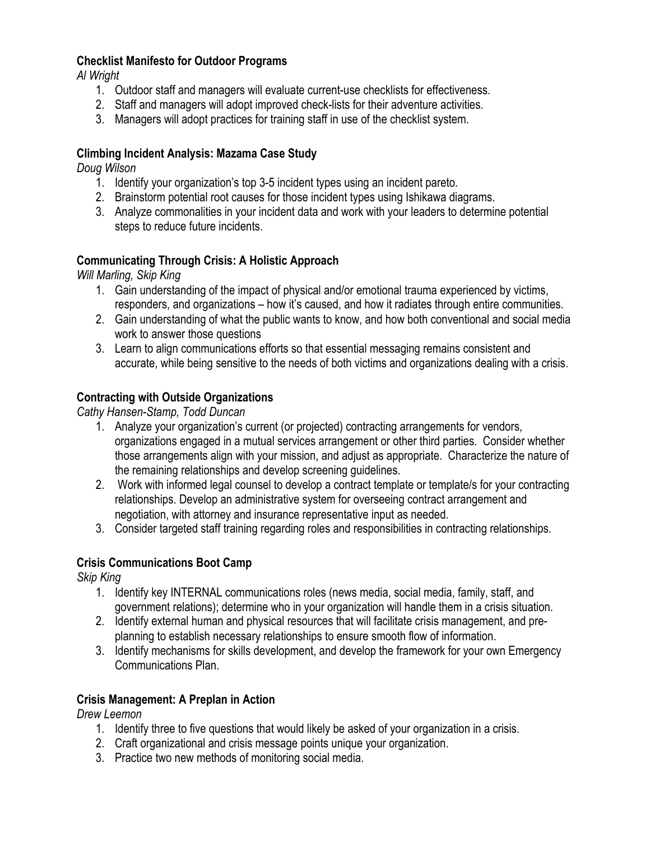#### **Checklist Manifesto for Outdoor Programs**

*Al Wright*

- 1. Outdoor staff and managers will evaluate current-use checklists for effectiveness.
- 2. Staff and managers will adopt improved check-lists for their adventure activities.
- 3. Managers will adopt practices for training staff in use of the checklist system.

#### **Climbing Incident Analysis: Mazama Case Study**

*Doug Wilson*

- 1. Identify your organization's top 3-5 incident types using an incident pareto.
- 2. Brainstorm potential root causes for those incident types using Ishikawa diagrams.
- 3. Analyze commonalities in your incident data and work with your leaders to determine potential steps to reduce future incidents.

#### **Communicating Through Crisis: A Holistic Approach**

*Will Marling, Skip King*

- 1. Gain understanding of the impact of physical and/or emotional trauma experienced by victims, responders, and organizations – how it's caused, and how it radiates through entire communities.
- 2. Gain understanding of what the public wants to know, and how both conventional and social media work to answer those questions
- 3. Learn to align communications efforts so that essential messaging remains consistent and accurate, while being sensitive to the needs of both victims and organizations dealing with a crisis.

#### **Contracting with Outside Organizations**

*Cathy Hansen-Stamp, Todd Duncan*

- 1. Analyze your organization's current (or projected) contracting arrangements for vendors, organizations engaged in a mutual services arrangement or other third parties. Consider whether those arrangements align with your mission, and adjust as appropriate. Characterize the nature of the remaining relationships and develop screening guidelines.
- 2. Work with informed legal counsel to develop a contract template or template/s for your contracting relationships. Develop an administrative system for overseeing contract arrangement and negotiation, with attorney and insurance representative input as needed.
- 3. Consider targeted staff training regarding roles and responsibilities in contracting relationships.

#### **Crisis Communications Boot Camp**

*Skip King*

- 1. Identify key INTERNAL communications roles (news media, social media, family, staff, and government relations); determine who in your organization will handle them in a crisis situation.
- 2. Identify external human and physical resources that will facilitate crisis management, and preplanning to establish necessary relationships to ensure smooth flow of information.
- 3. Identify mechanisms for skills development, and develop the framework for your own Emergency Communications Plan.

#### **Crisis Management: A Preplan in Action**

*Drew Leemon*

- 1. Identify three to five questions that would likely be asked of your organization in a crisis.
- 2. Craft organizational and crisis message points unique your organization.
- 3. Practice two new methods of monitoring social media.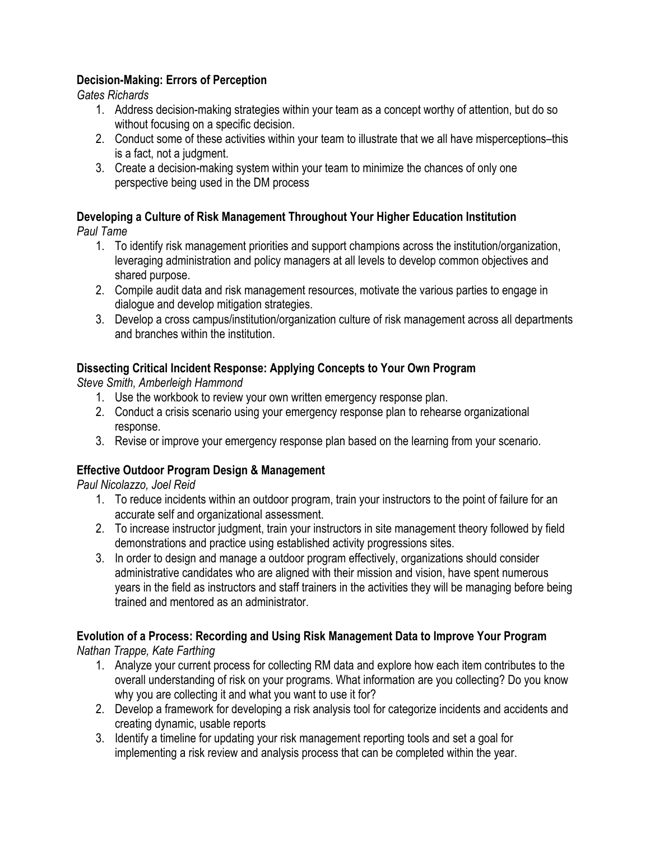#### **Decision-Making: Errors of Perception**

*Gates Richards*

- 1. Address decision-making strategies within your team as a concept worthy of attention, but do so without focusing on a specific decision.
- 2. Conduct some of these activities within your team to illustrate that we all have misperceptions–this is a fact, not a judgment.
- 3. Create a decision-making system within your team to minimize the chances of only one perspective being used in the DM process

# **Developing a Culture of Risk Management Throughout Your Higher Education Institution**

*Paul Tame*

- 1. To identify risk management priorities and support champions across the institution/organization, leveraging administration and policy managers at all levels to develop common objectives and shared purpose.
- 2. Compile audit data and risk management resources, motivate the various parties to engage in dialogue and develop mitigation strategies.
- 3. Develop a cross campus/institution/organization culture of risk management across all departments and branches within the institution.

#### **Dissecting Critical Incident Response: Applying Concepts to Your Own Program**

*Steve Smith, Amberleigh Hammond*

- 1. Use the workbook to review your own written emergency response plan.
- 2. Conduct a crisis scenario using your emergency response plan to rehearse organizational response.
- 3. Revise or improve your emergency response plan based on the learning from your scenario.

#### **Effective Outdoor Program Design & Management**

*Paul Nicolazzo, Joel Reid*

- 1. To reduce incidents within an outdoor program, train your instructors to the point of failure for an accurate self and organizational assessment.
- 2. To increase instructor judgment, train your instructors in site management theory followed by field demonstrations and practice using established activity progressions sites.
- 3. In order to design and manage a outdoor program effectively, organizations should consider administrative candidates who are aligned with their mission and vision, have spent numerous years in the field as instructors and staff trainers in the activities they will be managing before being trained and mentored as an administrator.

#### **Evolution of a Process: Recording and Using Risk Management Data to Improve Your Program**

*Nathan Trappe, Kate Farthing*

- 1. Analyze your current process for collecting RM data and explore how each item contributes to the overall understanding of risk on your programs. What information are you collecting? Do you know why you are collecting it and what you want to use it for?
- 2. Develop a framework for developing a risk analysis tool for categorize incidents and accidents and creating dynamic, usable reports
- 3. Identify a timeline for updating your risk management reporting tools and set a goal for implementing a risk review and analysis process that can be completed within the year.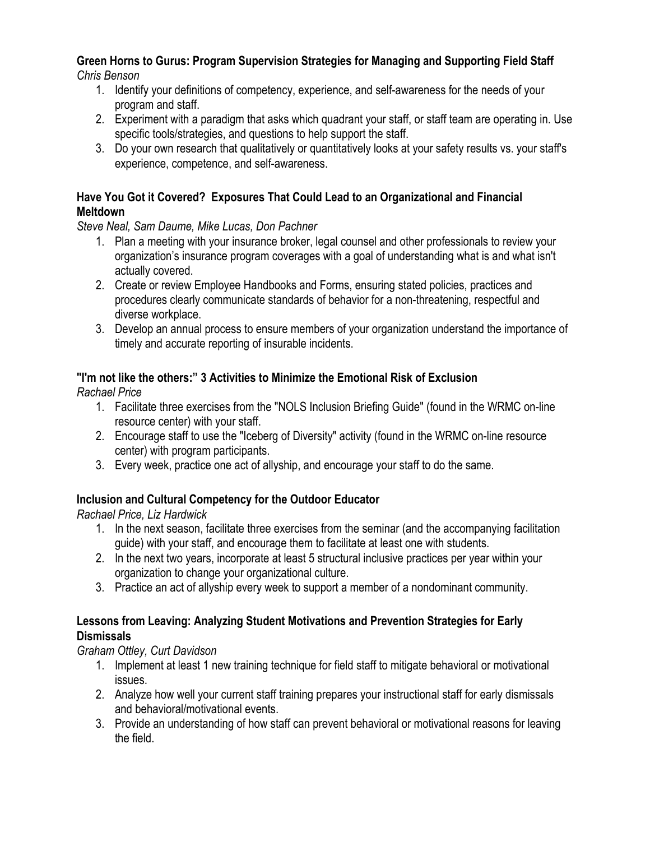#### **Green Horns to Gurus: Program Supervision Strategies for Managing and Supporting Field Staff** *Chris Benson*

- 1. Identify your definitions of competency, experience, and self-awareness for the needs of your program and staff.
- 2. Experiment with a paradigm that asks which quadrant your staff, or staff team are operating in. Use specific tools/strategies, and questions to help support the staff.
- 3. Do your own research that qualitatively or quantitatively looks at your safety results vs. your staff's experience, competence, and self-awareness.

#### **Have You Got it Covered? Exposures That Could Lead to an Organizational and Financial Meltdown**

*Steve Neal, Sam Daume, Mike Lucas, Don Pachner*

- 1. Plan a meeting with your insurance broker, legal counsel and other professionals to review your organization's insurance program coverages with a goal of understanding what is and what isn't actually covered.
- 2. Create or review Employee Handbooks and Forms, ensuring stated policies, practices and procedures clearly communicate standards of behavior for a non-threatening, respectful and diverse workplace.
- 3. Develop an annual process to ensure members of your organization understand the importance of timely and accurate reporting of insurable incidents.

### **"I'm not like the others:" 3 Activities to Minimize the Emotional Risk of Exclusion**

*Rachael Price*

- 1. Facilitate three exercises from the "NOLS Inclusion Briefing Guide" (found in the WRMC on-line resource center) with your staff.
- 2. Encourage staff to use the "Iceberg of Diversity" activity (found in the WRMC on-line resource center) with program participants.
- 3. Every week, practice one act of allyship, and encourage your staff to do the same.

#### **Inclusion and Cultural Competency for the Outdoor Educator**

*Rachael Price, Liz Hardwick* 

- 1. In the next season, facilitate three exercises from the seminar (and the accompanying facilitation guide) with your staff, and encourage them to facilitate at least one with students.
- 2. In the next two years, incorporate at least 5 structural inclusive practices per year within your organization to change your organizational culture.
- 3. Practice an act of allyship every week to support a member of a nondominant community.

#### **Lessons from Leaving: Analyzing Student Motivations and Prevention Strategies for Early Dismissals**

#### *Graham Ottley, Curt Davidson*

- 1. Implement at least 1 new training technique for field staff to mitigate behavioral or motivational issues.
- 2. Analyze how well your current staff training prepares your instructional staff for early dismissals and behavioral/motivational events.
- 3. Provide an understanding of how staff can prevent behavioral or motivational reasons for leaving the field.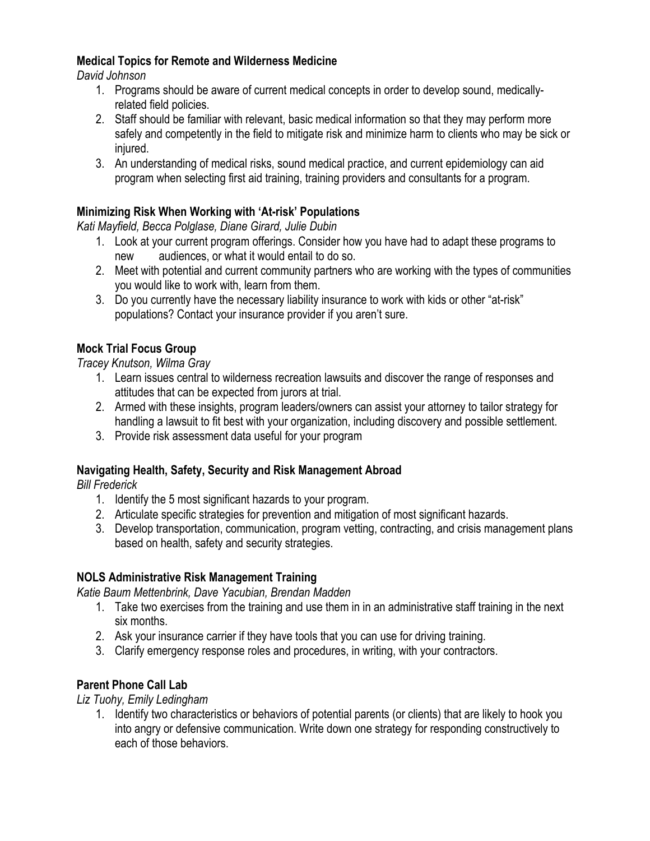#### **Medical Topics for Remote and Wilderness Medicine**

*David Johnson*

- 1. Programs should be aware of current medical concepts in order to develop sound, medicallyrelated field policies.
- 2. Staff should be familiar with relevant, basic medical information so that they may perform more safely and competently in the field to mitigate risk and minimize harm to clients who may be sick or injured.
- 3. An understanding of medical risks, sound medical practice, and current epidemiology can aid program when selecting first aid training, training providers and consultants for a program.

#### **Minimizing Risk When Working with 'At-risk' Populations**

*Kati Mayfield, Becca Polglase, Diane Girard, Julie Dubin*

- 1. Look at your current program offerings. Consider how you have had to adapt these programs to new audiences, or what it would entail to do so.
- 2. Meet with potential and current community partners who are working with the types of communities you would like to work with, learn from them.
- 3. Do you currently have the necessary liability insurance to work with kids or other "at-risk" populations? Contact your insurance provider if you aren't sure.

#### **Mock Trial Focus Group**

*Tracey Knutson, Wilma Gray*

- 1. Learn issues central to wilderness recreation lawsuits and discover the range of responses and attitudes that can be expected from jurors at trial.
- 2. Armed with these insights, program leaders/owners can assist your attorney to tailor strategy for handling a lawsuit to fit best with your organization, including discovery and possible settlement.
- 3. Provide risk assessment data useful for your program

#### **Navigating Health, Safety, Security and Risk Management Abroad**

*Bill Frederick*

- 1. Identify the 5 most significant hazards to your program.
- 2. Articulate specific strategies for prevention and mitigation of most significant hazards.
- 3. Develop transportation, communication, program vetting, contracting, and crisis management plans based on health, safety and security strategies.

#### **NOLS Administrative Risk Management Training**

*Katie Baum Mettenbrink, Dave Yacubian, Brendan Madden*

- 1. Take two exercises from the training and use them in in an administrative staff training in the next six months.
- 2. Ask your insurance carrier if they have tools that you can use for driving training.
- 3. Clarify emergency response roles and procedures, in writing, with your contractors.

#### **Parent Phone Call Lab**

*Liz Tuohy, Emily Ledingham*

1. Identify two characteristics or behaviors of potential parents (or clients) that are likely to hook you into angry or defensive communication. Write down one strategy for responding constructively to each of those behaviors.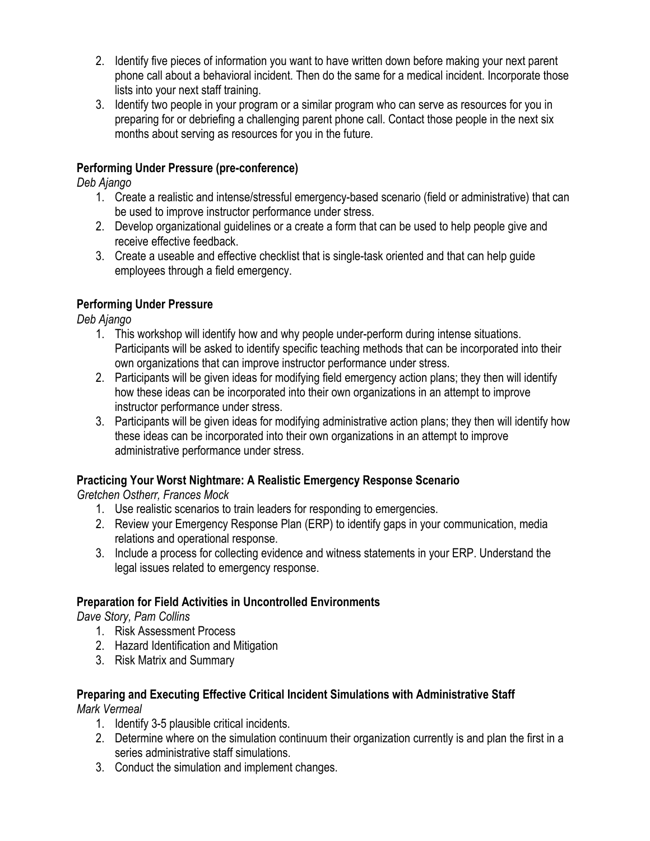- 2. Identify five pieces of information you want to have written down before making your next parent phone call about a behavioral incident. Then do the same for a medical incident. Incorporate those lists into your next staff training.
- 3. Identify two people in your program or a similar program who can serve as resources for you in preparing for or debriefing a challenging parent phone call. Contact those people in the next six months about serving as resources for you in the future.

#### **Performing Under Pressure (pre-conference)**

*Deb Ajango*

- 1. Create a realistic and intense/stressful emergency-based scenario (field or administrative) that can be used to improve instructor performance under stress.
- 2. Develop organizational guidelines or a create a form that can be used to help people give and receive effective feedback.
- 3. Create a useable and effective checklist that is single-task oriented and that can help guide employees through a field emergency.

#### **Performing Under Pressure**

*Deb Ajango*

- 1. This workshop will identify how and why people under-perform during intense situations. Participants will be asked to identify specific teaching methods that can be incorporated into their own organizations that can improve instructor performance under stress.
- 2. Participants will be given ideas for modifying field emergency action plans; they then will identify how these ideas can be incorporated into their own organizations in an attempt to improve instructor performance under stress.
- 3. Participants will be given ideas for modifying administrative action plans; they then will identify how these ideas can be incorporated into their own organizations in an attempt to improve administrative performance under stress.

#### **Practicing Your Worst Nightmare: A Realistic Emergency Response Scenario**

*Gretchen Ostherr, Frances Mock*

- 1. Use realistic scenarios to train leaders for responding to emergencies.
- 2. Review your Emergency Response Plan (ERP) to identify gaps in your communication, media relations and operational response.
- 3. Include a process for collecting evidence and witness statements in your ERP. Understand the legal issues related to emergency response.

#### **Preparation for Field Activities in Uncontrolled Environments**

*Dave Story, Pam Collins*

- 1. Risk Assessment Process
- 2. Hazard Identification and Mitigation
- 3. Risk Matrix and Summary

# **Preparing and Executing Effective Critical Incident Simulations with Administrative Staff**

*Mark Vermeal*

- 1. Identify 3-5 plausible critical incidents.
- 2. Determine where on the simulation continuum their organization currently is and plan the first in a series administrative staff simulations.
- 3. Conduct the simulation and implement changes.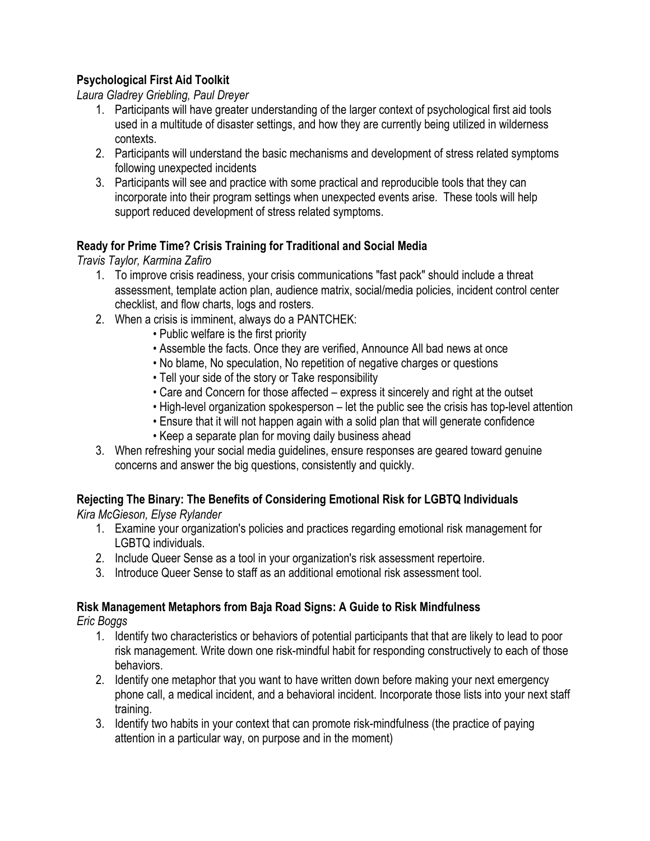#### **Psychological First Aid Toolkit**

*Laura Gladrey Griebling, Paul Dreyer* 

- 1. Participants will have greater understanding of the larger context of psychological first aid tools used in a multitude of disaster settings, and how they are currently being utilized in wilderness contexts.
- 2. Participants will understand the basic mechanisms and development of stress related symptoms following unexpected incidents
- 3. Participants will see and practice with some practical and reproducible tools that they can incorporate into their program settings when unexpected events arise. These tools will help support reduced development of stress related symptoms.

#### **Ready for Prime Time? Crisis Training for Traditional and Social Media**

*Travis Taylor, Karmina Zafiro*

- 1. To improve crisis readiness, your crisis communications "fast pack" should include a threat assessment, template action plan, audience matrix, social/media policies, incident control center checklist, and flow charts, logs and rosters.
- 2. When a crisis is imminent, always do a PANTCHEK:
	- Public welfare is the first priority
	- Assemble the facts. Once they are verified, Announce All bad news at once
	- No blame, No speculation, No repetition of negative charges or questions
	- Tell your side of the story or Take responsibility
	- Care and Concern for those affected express it sincerely and right at the outset
	- High-level organization spokesperson let the public see the crisis has top-level attention
	- Ensure that it will not happen again with a solid plan that will generate confidence
	- Keep a separate plan for moving daily business ahead
- 3. When refreshing your social media guidelines, ensure responses are geared toward genuine concerns and answer the big questions, consistently and quickly.

#### **Rejecting The Binary: The Benefits of Considering Emotional Risk for LGBTQ Individuals**

*Kira McGieson, Elyse Rylander*

- 1. Examine your organization's policies and practices regarding emotional risk management for LGBTQ individuals.
- 2. Include Queer Sense as a tool in your organization's risk assessment repertoire.
- 3. Introduce Queer Sense to staff as an additional emotional risk assessment tool.

#### **Risk Management Metaphors from Baja Road Signs: A Guide to Risk Mindfulness**

*Eric Boggs*

- 1. Identify two characteristics or behaviors of potential participants that that are likely to lead to poor risk management. Write down one risk-mindful habit for responding constructively to each of those behaviors.
- 2. Identify one metaphor that you want to have written down before making your next emergency phone call, a medical incident, and a behavioral incident. Incorporate those lists into your next staff training.
- 3. Identify two habits in your context that can promote risk-mindfulness (the practice of paying attention in a particular way, on purpose and in the moment)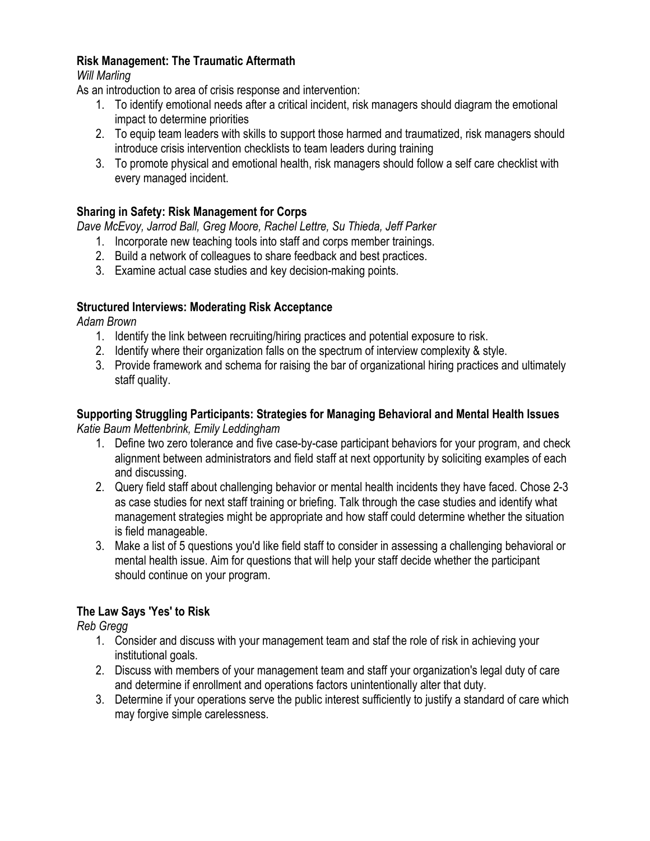#### **Risk Management: The Traumatic Aftermath**

#### *Will Marling*

As an introduction to area of crisis response and intervention:

- 1. To identify emotional needs after a critical incident, risk managers should diagram the emotional impact to determine priorities
- 2. To equip team leaders with skills to support those harmed and traumatized, risk managers should introduce crisis intervention checklists to team leaders during training
- 3. To promote physical and emotional health, risk managers should follow a self care checklist with every managed incident.

#### **Sharing in Safety: Risk Management for Corps**

*Dave McEvoy, Jarrod Ball, Greg Moore, Rachel Lettre, Su Thieda, Jeff Parker*

- 1. Incorporate new teaching tools into staff and corps member trainings.
- 2. Build a network of colleagues to share feedback and best practices.
- 3. Examine actual case studies and key decision-making points.

#### **Structured Interviews: Moderating Risk Acceptance**

*Adam Brown*

- 1. Identify the link between recruiting/hiring practices and potential exposure to risk.
- 2. Identify where their organization falls on the spectrum of interview complexity & style.
- 3. Provide framework and schema for raising the bar of organizational hiring practices and ultimately staff quality.

# **Supporting Struggling Participants: Strategies for Managing Behavioral and Mental Health Issues**

*Katie Baum Mettenbrink, Emily Leddingham*

- 1. Define two zero tolerance and five case-by-case participant behaviors for your program, and check alignment between administrators and field staff at next opportunity by soliciting examples of each and discussing.
- 2. Query field staff about challenging behavior or mental health incidents they have faced. Chose 2-3 as case studies for next staff training or briefing. Talk through the case studies and identify what management strategies might be appropriate and how staff could determine whether the situation is field manageable.
- 3. Make a list of 5 questions you'd like field staff to consider in assessing a challenging behavioral or mental health issue. Aim for questions that will help your staff decide whether the participant should continue on your program.

#### **The Law Says 'Yes' to Risk**

*Reb Gregg*

- 1. Consider and discuss with your management team and staf the role of risk in achieving your institutional goals.
- 2. Discuss with members of your management team and staff your organization's legal duty of care and determine if enrollment and operations factors unintentionally alter that duty.
- 3. Determine if your operations serve the public interest sufficiently to justify a standard of care which may forgive simple carelessness.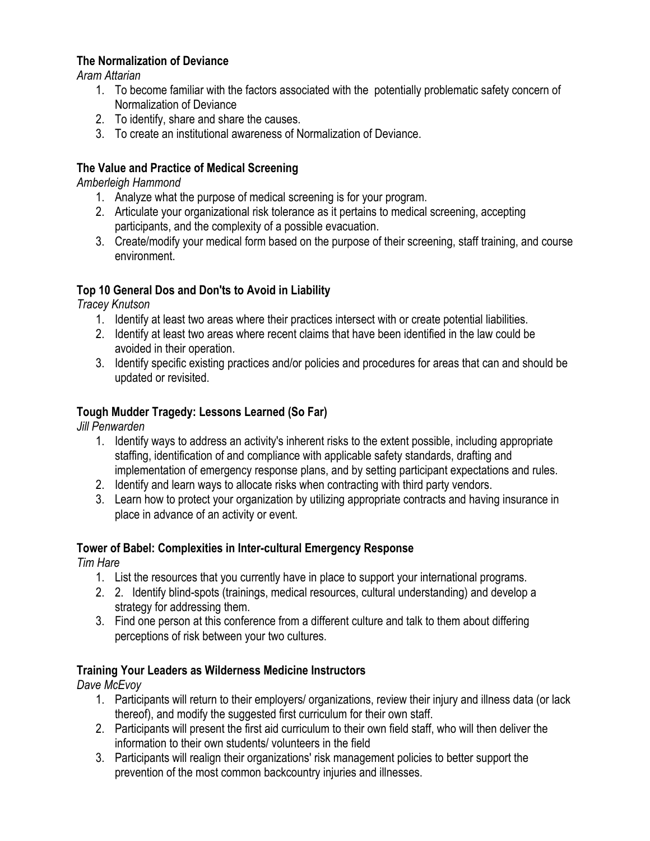#### **The Normalization of Deviance**

*Aram Attarian*

- 1. To become familiar with the factors associated with the potentially problematic safety concern of Normalization of Deviance
- 2. To identify, share and share the causes.
- 3. To create an institutional awareness of Normalization of Deviance.

#### **The Value and Practice of Medical Screening**

*Amberleigh Hammond*

- 1. Analyze what the purpose of medical screening is for your program.
- 2. Articulate your organizational risk tolerance as it pertains to medical screening, accepting participants, and the complexity of a possible evacuation.
- 3. Create/modify your medical form based on the purpose of their screening, staff training, and course environment.

#### **Top 10 General Dos and Don'ts to Avoid in Liability**

*Tracey Knutson*

- 1. Identify at least two areas where their practices intersect with or create potential liabilities.
- 2. Identify at least two areas where recent claims that have been identified in the law could be avoided in their operation.
- 3. Identify specific existing practices and/or policies and procedures for areas that can and should be updated or revisited.

#### **Tough Mudder Tragedy: Lessons Learned (So Far)**

*Jill Penwarden*

- 1. Identify ways to address an activity's inherent risks to the extent possible, including appropriate staffing, identification of and compliance with applicable safety standards, drafting and implementation of emergency response plans, and by setting participant expectations and rules.
- 2. Identify and learn ways to allocate risks when contracting with third party vendors.
- 3. Learn how to protect your organization by utilizing appropriate contracts and having insurance in place in advance of an activity or event.

#### **Tower of Babel: Complexities in Inter-cultural Emergency Response**

*Tim Hare*

- 1. List the resources that you currently have in place to support your international programs.
- 2. 2. Identify blind-spots (trainings, medical resources, cultural understanding) and develop a strategy for addressing them.
- 3. Find one person at this conference from a different culture and talk to them about differing perceptions of risk between your two cultures.

#### **Training Your Leaders as Wilderness Medicine Instructors**

*Dave McEvoy*

- 1. Participants will return to their employers/ organizations, review their injury and illness data (or lack thereof), and modify the suggested first curriculum for their own staff.
- 2. Participants will present the first aid curriculum to their own field staff, who will then deliver the information to their own students/ volunteers in the field
- 3. Participants will realign their organizations' risk management policies to better support the prevention of the most common backcountry injuries and illnesses.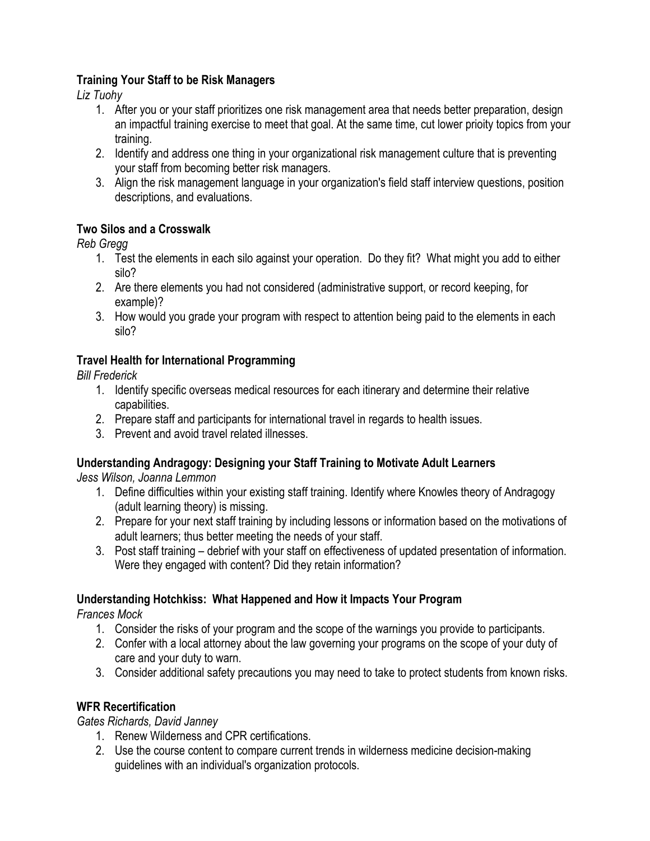#### **Training Your Staff to be Risk Managers**

*Liz Tuohy*

- 1. After you or your staff prioritizes one risk management area that needs better preparation, design an impactful training exercise to meet that goal. At the same time, cut lower prioity topics from your training.
- 2. Identify and address one thing in your organizational risk management culture that is preventing your staff from becoming better risk managers.
- 3. Align the risk management language in your organization's field staff interview questions, position descriptions, and evaluations.

#### **Two Silos and a Crosswalk**

*Reb Gregg*

- 1. Test the elements in each silo against your operation. Do they fit? What might you add to either silo?
- 2. Are there elements you had not considered (administrative support, or record keeping, for example)?
- 3. How would you grade your program with respect to attention being paid to the elements in each silo?

#### **Travel Health for International Programming**

*Bill Frederick*

- 1. Identify specific overseas medical resources for each itinerary and determine their relative capabilities.
- 2. Prepare staff and participants for international travel in regards to health issues.
- 3. Prevent and avoid travel related illnesses.

#### **Understanding Andragogy: Designing your Staff Training to Motivate Adult Learners**

*Jess Wilson, Joanna Lemmon*

- 1. Define difficulties within your existing staff training. Identify where Knowles theory of Andragogy (adult learning theory) is missing.
- 2. Prepare for your next staff training by including lessons or information based on the motivations of adult learners; thus better meeting the needs of your staff.
- 3. Post staff training debrief with your staff on effectiveness of updated presentation of information. Were they engaged with content? Did they retain information?

#### **Understanding Hotchkiss: What Happened and How it Impacts Your Program**

*Frances Mock*

- 1. Consider the risks of your program and the scope of the warnings you provide to participants.
- 2. Confer with a local attorney about the law governing your programs on the scope of your duty of care and your duty to warn.
- 3. Consider additional safety precautions you may need to take to protect students from known risks.

#### **WFR Recertification**

*Gates Richards, David Janney*

- 1. Renew Wilderness and CPR certifications.
- 2. Use the course content to compare current trends in wilderness medicine decision-making guidelines with an individual's organization protocols.